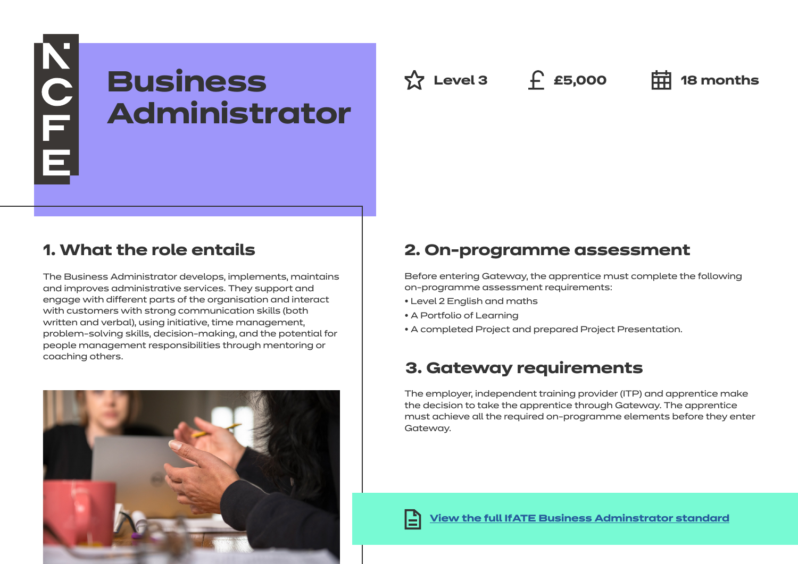# **KOLLE Business Administrator**

**Az Level 3 f** £5,000 **中 18** months

## **1. What the role entails**

The Business Administrator develops, implements, maintains and improves administrative services. They support and engage with different parts of the organisation and interact with customers with strong communication skills (both written and verbal), using initiative, time management, problem-solving skills, decision-making, and the potential for people management responsibilities through mentoring or coaching others.



## **2. On-programme assessment**

Before entering Gateway, the apprentice must complete the following on-programme assessment requirements:

- Level 2 English and maths
- A Portfolio of Learning
- A completed Project and prepared Project Presentation.

## **3. Gateway requirements**

The employer, independent training provider (ITP) and apprentice make the decision to take the apprentice through Gateway. The apprentice must achieve all the required on-programme elements before they enter Gateway.